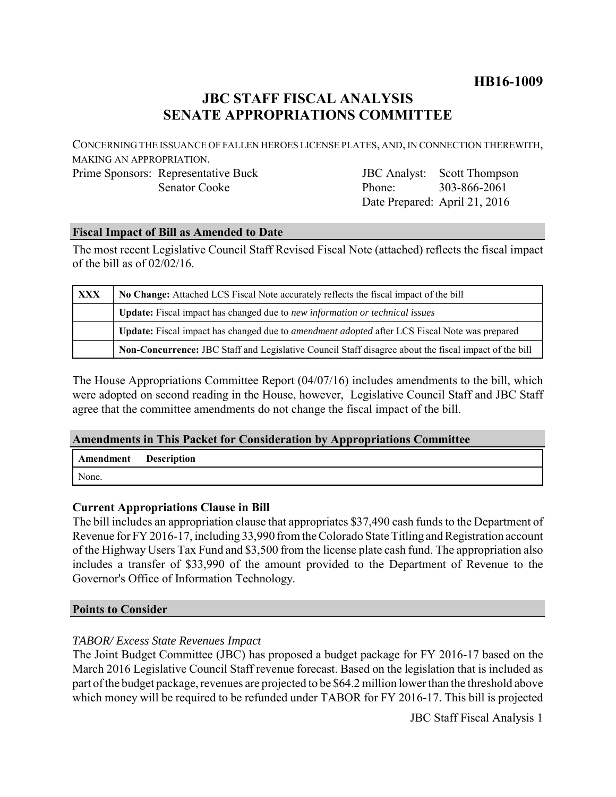# **HB16-1009**

# **JBC STAFF FISCAL ANALYSIS SENATE APPROPRIATIONS COMMITTEE**

CONCERNING THE ISSUANCE OF FALLEN HEROES LICENSE PLATES, AND, IN CONNECTION THEREWITH, MAKING AN APPROPRIATION.

Prime Sponsors: Representative Buck Senator Cooke

JBC Analyst: Phone: Date Prepared: April 21, 2016 Scott Thompson 303-866-2061

## **Fiscal Impact of Bill as Amended to Date**

The most recent Legislative Council Staff Revised Fiscal Note (attached) reflects the fiscal impact of the bill as of 02/02/16.

| <b>XXX</b> | No Change: Attached LCS Fiscal Note accurately reflects the fiscal impact of the bill                       |
|------------|-------------------------------------------------------------------------------------------------------------|
|            | Update: Fiscal impact has changed due to new information or technical issues                                |
|            | <b>Update:</b> Fiscal impact has changed due to <i>amendment adopted</i> after LCS Fiscal Note was prepared |
|            | Non-Concurrence: JBC Staff and Legislative Council Staff disagree about the fiscal impact of the bill       |

The House Appropriations Committee Report (04/07/16) includes amendments to the bill, which were adopted on second reading in the House, however, Legislative Council Staff and JBC Staff agree that the committee amendments do not change the fiscal impact of the bill.

### **Amendments in This Packet for Consideration by Appropriations Committee**

| Amendment | <b>Description</b> |
|-----------|--------------------|
| None.     |                    |

### **Current Appropriations Clause in Bill**

The bill includes an appropriation clause that appropriates \$37,490 cash funds to the Department of Revenue for FY 2016-17, including 33,990 from the Colorado State Titling and Registration account of the Highway Users Tax Fund and \$3,500 from the license plate cash fund. The appropriation also includes a transfer of \$33,990 of the amount provided to the Department of Revenue to the Governor's Office of Information Technology.

### **Points to Consider**

## *TABOR/ Excess State Revenues Impact*

The Joint Budget Committee (JBC) has proposed a budget package for FY 2016-17 based on the March 2016 Legislative Council Staff revenue forecast. Based on the legislation that is included as part of the budget package, revenues are projected to be \$64.2 million lower than the threshold above which money will be required to be refunded under TABOR for FY 2016-17. This bill is projected